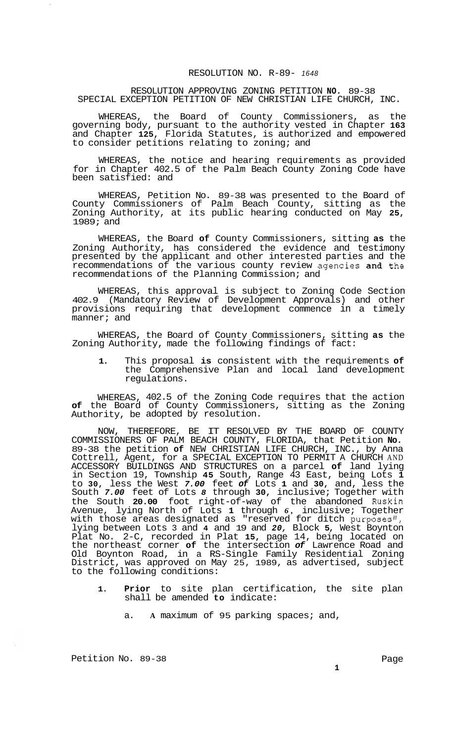## RESOLUTION APPROVING ZONING PETITION **NO.** 89-38 SPECIAL EXCEPTION PETITION OF NEW CHRISTIAN LIFE CHURCH, INC.

WHEREAS, the Board of County Commissioners, as the governing body, pursuant to the authority vested in Chapter **163**  and Chapter **125,** Florida Statutes, is authorized and empowered to consider petitions relating to zoning; and

WHEREAS, the notice and hearing requirements as provided for in Chapter 402.5 of the Palm Beach County Zoning Code have been satisfied: and

WHEREAS, Petition No. 89-38 was presented to the Board of County Commissioners of Palm Beach County, sitting as the Zoning Authority, at its public hearing conducted on May **25,**  1989; and

WHEREAS, the Board **of** County Commissioners, sitting **as** the Zoning Authority, has considered the evidence and testimony presented by the applicant and other interested parties and the recommendations of the various county review agencies and the recommendations of the Planning Commission; and

WHEREAS, this approval is subject to Zoning Code Section 402.9 (Mandatory Review of Development Approvals) and other provisions requiring that development commence in a timely manner; and

WHEREAS, the Board of County Commissioners, sitting **as** the Zoning Authority, made the following findings of fact:

**1.** This proposal **is** consistent with the requirements **of**  the Comprehensive Plan and local land development regulations.

WHEREAS, 402.5 of the Zoning Code requires that the action **of** the Board of County Commissioners, sitting as the Zoning Authority, be adopted by resolution.

NOW, THEREFORE, BE IT RESOLVED BY THE BOARD OF COUNTY COMMISSIONERS OF PALM BEACH COUNTY, FLORIDA, that Petition **No.**  89-38 the petition **of** NEW CHRISTIAN LIFE CHURCH, INC., by Anna Cottrell, Agent, for a SPECIAL EXCEPTION TO PERMIT A CHURCH AND ACCESSORY BUILDINGS AND STRUCTURES on a parcel **of** land lying in Section 19, Township **45** South, Range 43 East, being Lots **1**  to **30,** less the West *7.00* feet *of* Lots **1** and **30,** and, less the South *7.00* feet of Lots *8* through **30,** inclusive; Together with the South **20.00** foot right-of-way of the abandoned Ruskin Avenue, lying North of Lots **1** through *6,* inclusive; Together with those areas designated as "reserved for ditch purposes", lying between Lots 3 and **4** and 19 and *20,* Block **5,** West Boynton Plat No. 2-C, recorded in Plat **15,** page 14, being located on the northeast corner **of** the intersection *of* Lawrence Road and Old Boynton Road, in a RS-Single Family Residential Zoning District, was approved on May 25, 1989, as advertised, subject to the following conditions:

- **1. Prior** to site plan certification, the site plan shall be amended **to** indicate:
	- a. **A** maximum of 95 parking spaces; and,

Petition No. 89-38 Page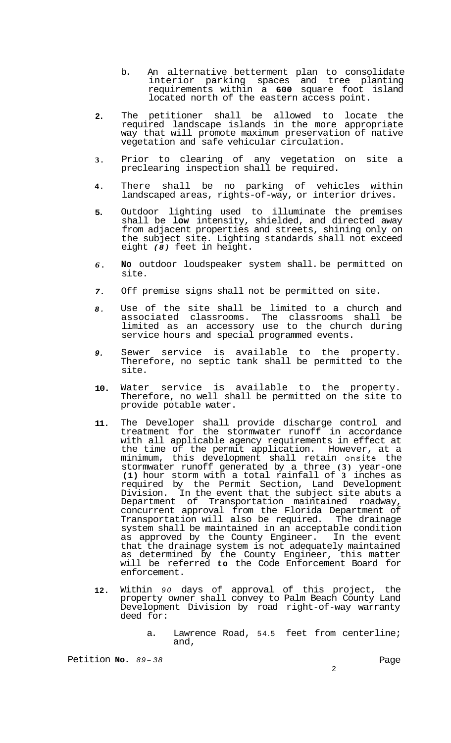- b. An alternative betterment plan to consolidate interior parking spaces and tree planting requirements within a **600** square foot island located north of the eastern access point.
- **2.**  The petitioner shall be allowed to locate the required landscape islands in the more appropriate way that will promote maximum preservation of native vegetation and safe vehicular circulation.
- **3.**  Prior to clearing of any vegetation on site a preclearing inspection shall be required.
- **4.**  There shall be no parking of vehicles within landscaped areas, rights-of-way, or interior drives.
- **5.**  Outdoor lighting used to illuminate the premises shall be **low** intensity, shielded, and directed away from adjacent properties and streets, shining only on the subject site. Lighting standards shall not exceed eight *(8)* feet in height.
- *6.*  **No** outdoor loudspeaker system shall. be permitted on site.
- *7.*  Off premise signs shall not be permitted on site.
- *8.*  Use of the site shall be limited to a church and associated classrooms. The classrooms shall be limited as an accessory use to the church during service hours and special programmed events.
- *9.*  Sewer service is available to the property. Therefore, no septic tank shall be permitted to the site.
- **10.**  Water service is available to the property. Therefore, no well shall be permitted on the site to provide potable water.
- **11.**  The Developer shall provide discharge control and treatment for the stormwater runoff in accordance with all applicable agency requirements in effect at the time of the permit application. However, at a minimum, this development shall retain onsite the stormwater runoff generated by a three **(3)** year-one **(1)** hour storm with a total rainfall of **3** inches as required by the Permit Section, Land Development Division. In the event that the subject site abuts a Department of Transportation maintained roadway, concurrent approval from the Florida Department of Transportation will also be required. The drainage system shall be maintained in an acceptable condition as approved by the County Engineer. In the event that the drainage system is not adequately maintained as determined by the County Engineer, this matter will be referred **to** the Code Enforcement Board for enforcement.
- **12.**  Within *90* days of approval of this project, the property owner shall convey to Palm Beach County Land Development Division by road right-of-way warranty deed for:
	- a. Lawrence Road, 54.5 feet from centerline; and,

Petition **No.**  $89-38$  Page